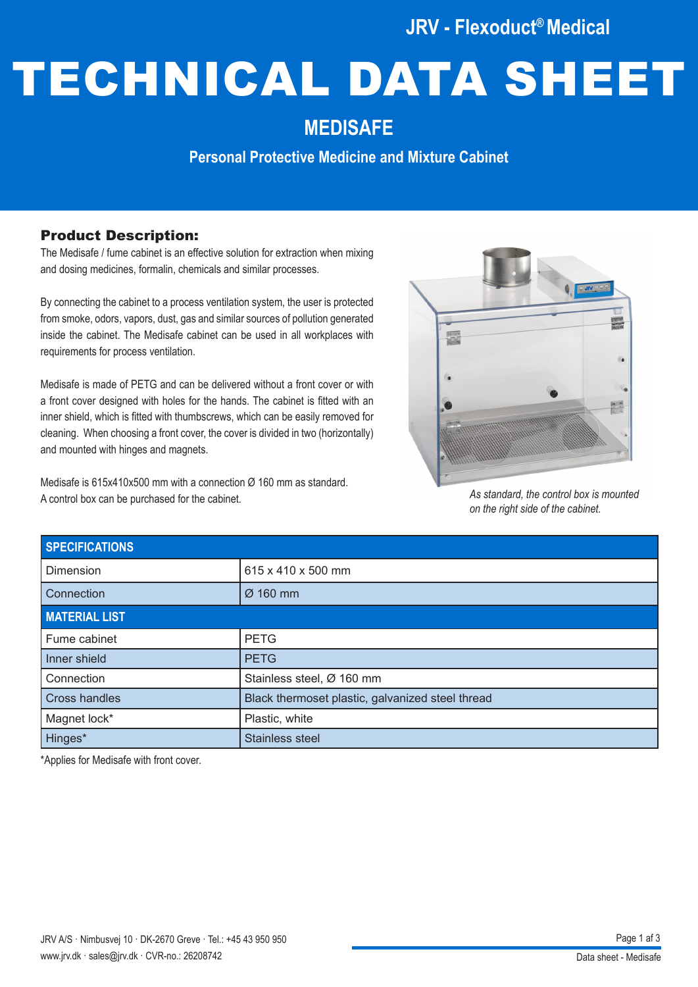**JRV - Flexoduct® Medical**

# TECHNICAL DATA SHEET

## Produktbeskrivelse **MEDISAFE**

**Personal Protective Medicine and Mixture Cabinet**

#### Product Description:

The Medisafe / fume cabinet is an effective solution for extraction when mixing and dosing medicines, formalin, chemicals and similar processes.

By connecting the cabinet to a process ventilation system, the user is protected from smoke, odors, vapors, dust, gas and similar sources of pollution generated inside the cabinet. The Medisafe cabinet can be used in all workplaces with requirements for process ventilation.

Medisafe is made of PETG and can be delivered without a front cover or with a front cover designed with holes for the hands. The cabinet is fitted with an inner shield, which is fitted with thumbscrews, which can be easily removed for cleaning. When choosing a front cover, the cover is divided in two (horizontally) and mounted with hinges and magnets.

Medisafe is 615x410x500 mm with a connection Ø 160 mm as standard. A control box can be purchased for the cabinet.



*As standard, the control box is mounted on the right side of the cabinet.*

| <b>SPECIFICATIONS</b> |                                                  |  |  |  |  |
|-----------------------|--------------------------------------------------|--|--|--|--|
| Dimension             | 615 x 410 x 500 mm                               |  |  |  |  |
| Connection            | $\varnothing$ 160 mm                             |  |  |  |  |
| <b>MATERIAL LIST</b>  |                                                  |  |  |  |  |
| Fume cabinet          | <b>PETG</b>                                      |  |  |  |  |
| Inner shield          | <b>PETG</b>                                      |  |  |  |  |
| Connection            | Stainless steel, Ø 160 mm                        |  |  |  |  |
| <b>Cross handles</b>  | Black thermoset plastic, galvanized steel thread |  |  |  |  |
| Magnet lock*          | Plastic, white                                   |  |  |  |  |
| Hinges*               | Stainless steel                                  |  |  |  |  |

\*Applies for Medisafe with front cover.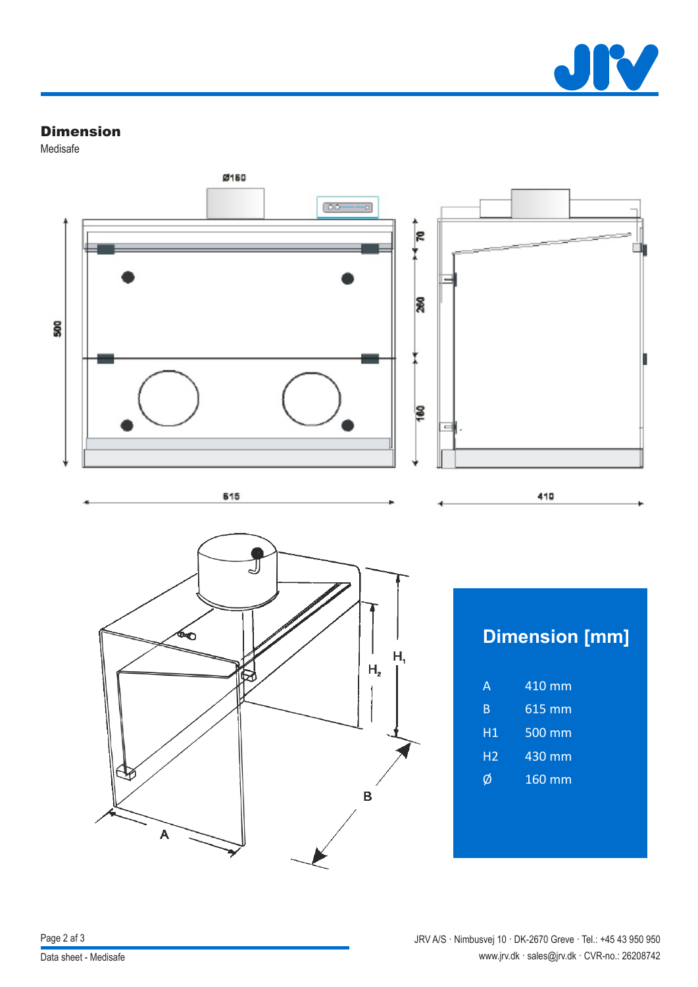

### Dimension

Medisafe